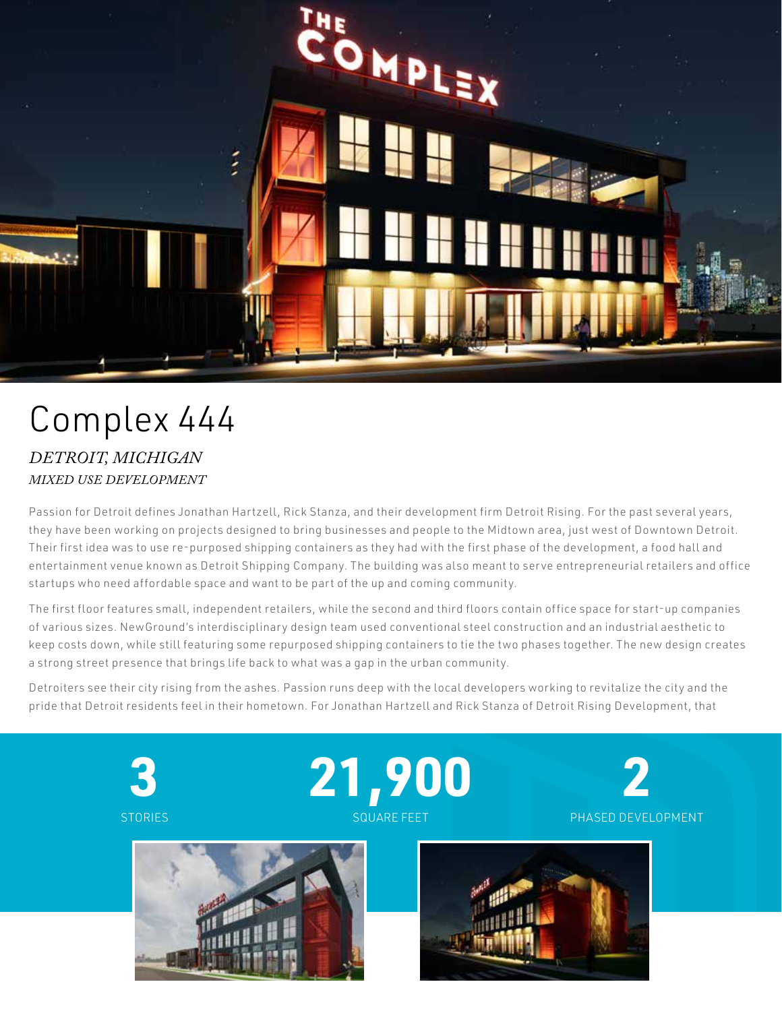

## Complex 444 *DETROIT, MICHIGAN MIXED USE DEVELOPMENT*

Passion for Detroit defines Jonathan Hartzell, Rick Stanza, and their development firm Detroit Rising. For the past several years, they have been working on projects designed to bring businesses and people to the Midtown area, just west of Downtown Detroit. Their first idea was to use re-purposed shipping containers as they had with the first phase of the development, a food hall and entertainment venue known as Detroit Shipping Company. The building was also meant to serve entrepreneurial retailers and office startups who need affordable space and want to be part of the up and coming community.

The first floor features small, independent retailers, while the second and third floors contain office space for start-up companies of various sizes. NewGround's interdisciplinary design team used conventional steel construction and an industrial aesthetic to keep costs down, while still featuring some repurposed shipping containers to tie the two phases together. The new design creates a strong street presence that brings life back to what was a gap in the urban community.

Detroiters see their city rising from the ashes. Passion runs deep with the local developers working to revitalize the city and the pride that Detroit residents feel in their hometown. For Jonathan Hartzell and Rick Stanza of Detroit Rising Development, that